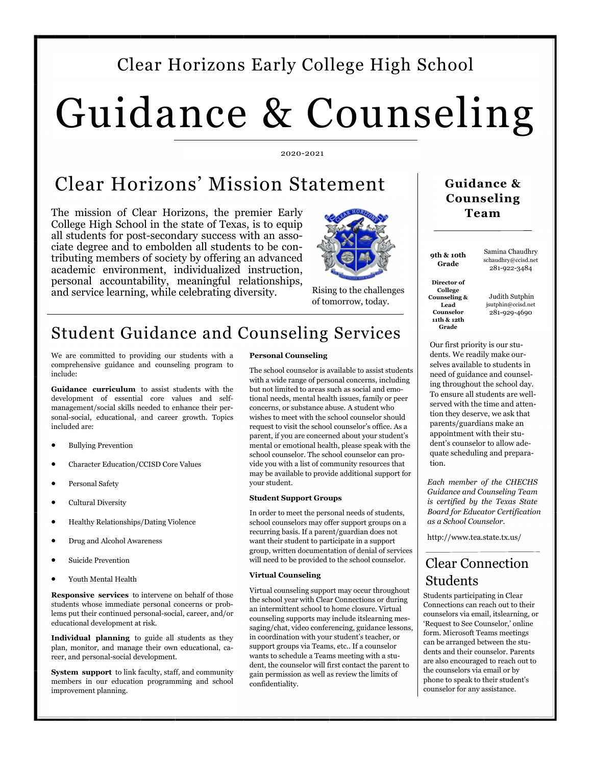### Clear Horizons Early College High School

# Guidance & Counseling

#### 2020-2021

### Clear Horizons' Mission Statement

The mission of Clear Horizons, the premier Early College High School in the state of Texas, is to equip all students for post-secondary success with an associate degree and to embolden all students to be contributing members of society by offering an advanced academic environment, individualized instruction, personal accountability, meaningful relationships, and service learning, while celebrating diversity.



Rising to the challenges of tomorrow, today.

### Student Guidance and Counseling Services

We are committed to providing our students with a comprehensive guidance and counseling program to include:

**Guidance curriculum** to assist students with the development of essential core values and selfmanagement/social skills needed to enhance their personal-social, educational, and career growth. Topics included are:

- Bullying Prevention
- Character Education/CCISD Core Values
- Personal Safety
- Cultural Diversity
- Healthy Relationships/Dating Violence
- Drug and Alcohol Awareness
- Suicide Prevention
- Youth Mental Health

**Responsive services** to intervene on behalf of those students whose immediate personal concerns or problems put their continued personal-social, career, and/or educational development at risk.

**Individual planning** to guide all students as they plan, monitor, and manage their own educational, career, and personal-social development.

**System support** to link faculty, staff, and community members in our education programming and school improvement planning.

#### **Personal Counseling**

The school counselor is available to assist students with a wide range of personal concerns, including but not limited to areas such as social and emotional needs, mental health issues, family or peer concerns, or substance abuse. A student who wishes to meet with the school counselor should request to visit the school counselor's office. As a parent, if you are concerned about your student's mental or emotional health, please speak with the school counselor. The school counselor can provide you with a list of community resources that may be available to provide additional support for your student.

#### **Student Support Groups**

In order to meet the personal needs of students, school counselors may offer support groups on a recurring basis. If a parent/guardian does not want their student to participate in a support group, written documentation of denial of services will need to be provided to the school counselor.

#### **Virtual Counseling**

Virtual counseling support may occur throughout the school year with Clear Connections or during an intermittent school to home closure. Virtual counseling supports may include itslearning messaging/chat, video conferencing, guidance lessons, in coordination with your student's teacher, or support groups via Teams, etc.. If a counselor wants to schedule a Teams meeting with a student, the counselor will first contact the parent to gain permission as well as review the limits of confidentiality.

### **Guidance & Counseling Team**

Samina Chaudhry schaudhry@ccisd.net 281-922-3484

**Director of College Counseling & Lead Counselor 11th & 12th Grade** 

**9th & 10th Grade**

> Judith Sutphin jsutphin@ccisd.net 281-929-4690

Our first priority is our students. We readily make ourselves available to students in need of guidance and counseling throughout the school day. To ensure all students are wellserved with the time and attention they deserve, we ask that parents/guardians make an appointment with their student's counselor to allow adequate scheduling and preparation.

*Each member of the CHECHS Guidance and Counseling Team is certified by the Texas State Board for Educator Certification as a School Counselor.* 

http://www.tea.state.tx.us/

### Clear Connection Students

Students participating in Clear Connections can reach out to their counselors via email, itslearning, or 'Request to See Counselor,' online form. Microsoft Teams meetings can be arranged between the students and their counselor. Parents are also encouraged to reach out to the counselors via email or by phone to speak to their student's counselor for any assistance.